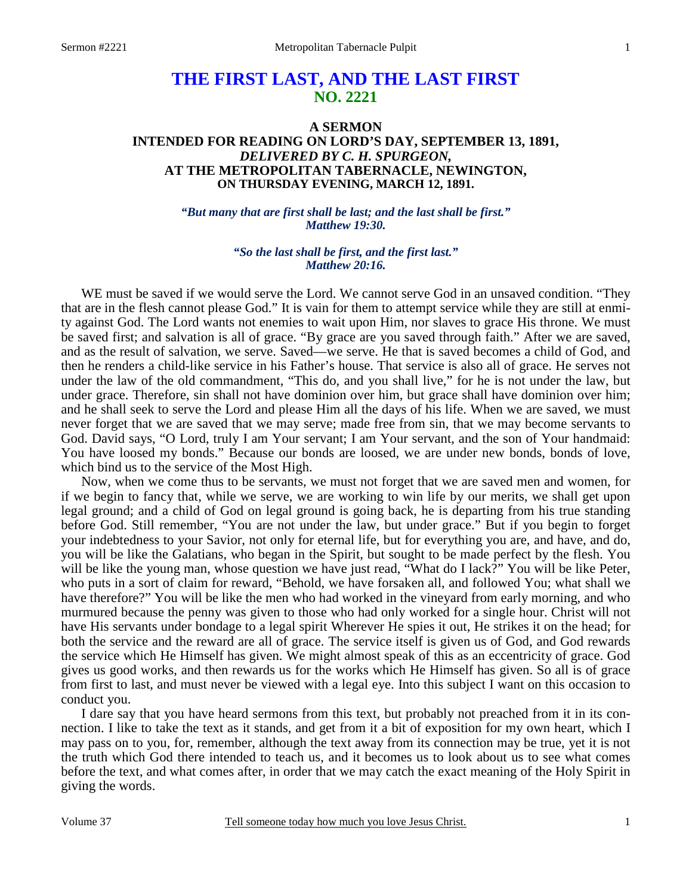# **THE FIRST LAST, AND THE LAST FIRST NO. 2221**

## **A SERMON INTENDED FOR READING ON LORD'S DAY, SEPTEMBER 13, 1891,**  *DELIVERED BY C. H. SPURGEON,*  **AT THE METROPOLITAN TABERNACLE, NEWINGTON, ON THURSDAY EVENING, MARCH 12, 1891.**

*"But many that are first shall be last; and the last shall be first." Matthew 19:30.* 

## *"So the last shall be first, and the first last." Matthew 20:16.*

WE must be saved if we would serve the Lord. We cannot serve God in an unsaved condition. "They that are in the flesh cannot please God." It is vain for them to attempt service while they are still at enmity against God. The Lord wants not enemies to wait upon Him, nor slaves to grace His throne. We must be saved first; and salvation is all of grace. "By grace are you saved through faith." After we are saved, and as the result of salvation, we serve. Saved—we serve. He that is saved becomes a child of God, and then he renders a child-like service in his Father's house. That service is also all of grace. He serves not under the law of the old commandment, "This do, and you shall live," for he is not under the law, but under grace. Therefore, sin shall not have dominion over him, but grace shall have dominion over him; and he shall seek to serve the Lord and please Him all the days of his life. When we are saved, we must never forget that we are saved that we may serve; made free from sin, that we may become servants to God. David says, "O Lord, truly I am Your servant; I am Your servant, and the son of Your handmaid: You have loosed my bonds." Because our bonds are loosed, we are under new bonds, bonds of love, which bind us to the service of the Most High.

 Now, when we come thus to be servants, we must not forget that we are saved men and women, for if we begin to fancy that, while we serve, we are working to win life by our merits, we shall get upon legal ground; and a child of God on legal ground is going back, he is departing from his true standing before God. Still remember, "You are not under the law, but under grace." But if you begin to forget your indebtedness to your Savior, not only for eternal life, but for everything you are, and have, and do, you will be like the Galatians, who began in the Spirit, but sought to be made perfect by the flesh. You will be like the young man, whose question we have just read, "What do I lack?" You will be like Peter, who puts in a sort of claim for reward, "Behold, we have forsaken all, and followed You; what shall we have therefore?" You will be like the men who had worked in the vineyard from early morning, and who murmured because the penny was given to those who had only worked for a single hour. Christ will not have His servants under bondage to a legal spirit Wherever He spies it out, He strikes it on the head; for both the service and the reward are all of grace. The service itself is given us of God, and God rewards the service which He Himself has given. We might almost speak of this as an eccentricity of grace. God gives us good works, and then rewards us for the works which He Himself has given. So all is of grace from first to last, and must never be viewed with a legal eye. Into this subject I want on this occasion to conduct you.

 I dare say that you have heard sermons from this text, but probably not preached from it in its connection. I like to take the text as it stands, and get from it a bit of exposition for my own heart, which I may pass on to you, for, remember, although the text away from its connection may be true, yet it is not the truth which God there intended to teach us, and it becomes us to look about us to see what comes before the text, and what comes after, in order that we may catch the exact meaning of the Holy Spirit in giving the words.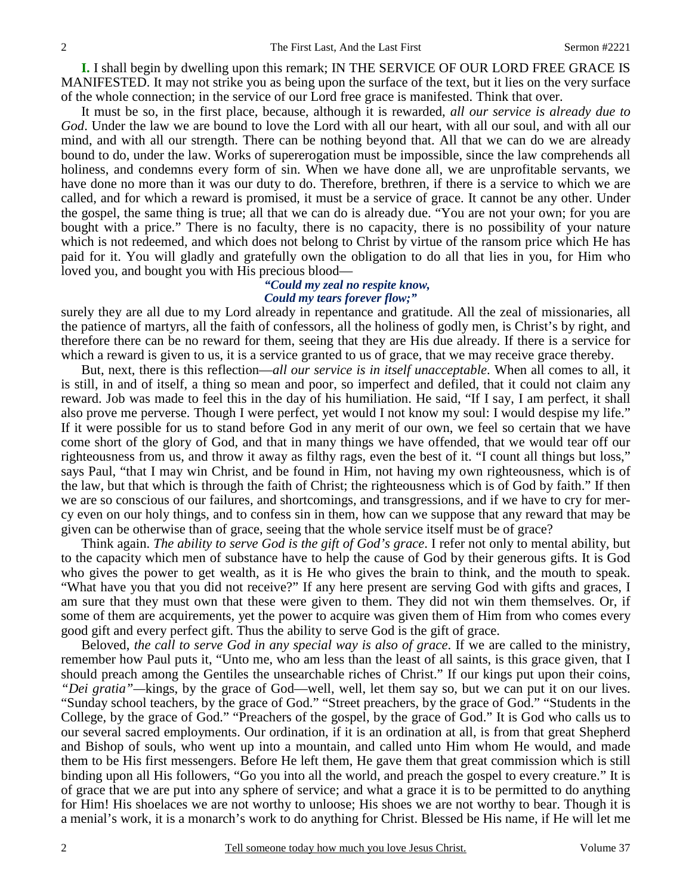**I.** I shall begin by dwelling upon this remark; IN THE SERVICE OF OUR LORD FREE GRACE IS MANIFESTED. It may not strike you as being upon the surface of the text, but it lies on the very surface of the whole connection; in the service of our Lord free grace is manifested. Think that over.

 It must be so, in the first place, because, although it is rewarded, *all our service is already due to God*. Under the law we are bound to love the Lord with all our heart, with all our soul, and with all our mind, and with all our strength. There can be nothing beyond that. All that we can do we are already bound to do, under the law. Works of supererogation must be impossible, since the law comprehends all holiness, and condemns every form of sin. When we have done all, we are unprofitable servants, we have done no more than it was our duty to do. Therefore, brethren, if there is a service to which we are called, and for which a reward is promised, it must be a service of grace. It cannot be any other. Under the gospel, the same thing is true; all that we can do is already due. "You are not your own; for you are bought with a price." There is no faculty, there is no capacity, there is no possibility of your nature which is not redeemed, and which does not belong to Christ by virtue of the ransom price which He has paid for it. You will gladly and gratefully own the obligation to do all that lies in you, for Him who loved you, and bought you with His precious blood—

## *"Could my zeal no respite know, Could my tears forever flow;"*

surely they are all due to my Lord already in repentance and gratitude. All the zeal of missionaries, all the patience of martyrs, all the faith of confessors, all the holiness of godly men, is Christ's by right, and therefore there can be no reward for them, seeing that they are His due already. If there is a service for which a reward is given to us, it is a service granted to us of grace, that we may receive grace thereby.

 But, next, there is this reflection—*all our service is in itself unacceptable*. When all comes to all, it is still, in and of itself, a thing so mean and poor, so imperfect and defiled, that it could not claim any reward. Job was made to feel this in the day of his humiliation. He said, "If I say, I am perfect, it shall also prove me perverse. Though I were perfect, yet would I not know my soul: I would despise my life." If it were possible for us to stand before God in any merit of our own, we feel so certain that we have come short of the glory of God, and that in many things we have offended, that we would tear off our righteousness from us, and throw it away as filthy rags, even the best of it. "I count all things but loss," says Paul, "that I may win Christ, and be found in Him, not having my own righteousness, which is of the law, but that which is through the faith of Christ; the righteousness which is of God by faith." If then we are so conscious of our failures, and shortcomings, and transgressions, and if we have to cry for mercy even on our holy things, and to confess sin in them, how can we suppose that any reward that may be given can be otherwise than of grace, seeing that the whole service itself must be of grace?

 Think again. *The ability to serve God is the gift of God's grace*. I refer not only to mental ability, but to the capacity which men of substance have to help the cause of God by their generous gifts. It is God who gives the power to get wealth, as it is He who gives the brain to think, and the mouth to speak. "What have you that you did not receive?" If any here present are serving God with gifts and graces, I am sure that they must own that these were given to them. They did not win them themselves. Or, if some of them are acquirements, yet the power to acquire was given them of Him from who comes every good gift and every perfect gift. Thus the ability to serve God is the gift of grace.

 Beloved, *the call to serve God in any special way is also of grace*. If we are called to the ministry, remember how Paul puts it, "Unto me, who am less than the least of all saints, is this grace given, that I should preach among the Gentiles the unsearchable riches of Christ." If our kings put upon their coins, *"Dei gratia"—*kings, by the grace of God—well, well, let them say so, but we can put it on our lives. "Sunday school teachers, by the grace of God." "Street preachers, by the grace of God." "Students in the College, by the grace of God." "Preachers of the gospel, by the grace of God." It is God who calls us to our several sacred employments. Our ordination, if it is an ordination at all, is from that great Shepherd and Bishop of souls, who went up into a mountain, and called unto Him whom He would, and made them to be His first messengers. Before He left them, He gave them that great commission which is still binding upon all His followers, "Go you into all the world, and preach the gospel to every creature." It is of grace that we are put into any sphere of service; and what a grace it is to be permitted to do anything for Him! His shoelaces we are not worthy to unloose; His shoes we are not worthy to bear. Though it is a menial's work, it is a monarch's work to do anything for Christ. Blessed be His name, if He will let me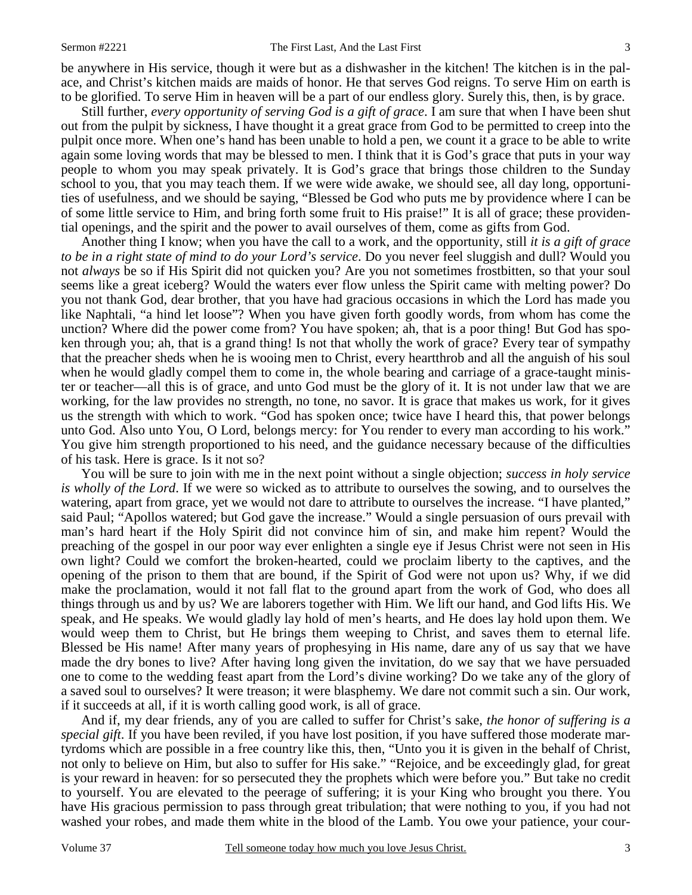be anywhere in His service, though it were but as a dishwasher in the kitchen! The kitchen is in the palace, and Christ's kitchen maids are maids of honor. He that serves God reigns. To serve Him on earth is to be glorified. To serve Him in heaven will be a part of our endless glory. Surely this, then, is by grace.

 Still further, *every opportunity of serving God is a gift of grace*. I am sure that when I have been shut out from the pulpit by sickness, I have thought it a great grace from God to be permitted to creep into the pulpit once more. When one's hand has been unable to hold a pen, we count it a grace to be able to write again some loving words that may be blessed to men. I think that it is God's grace that puts in your way people to whom you may speak privately. It is God's grace that brings those children to the Sunday school to you, that you may teach them. If we were wide awake, we should see, all day long, opportunities of usefulness, and we should be saying, "Blessed be God who puts me by providence where I can be of some little service to Him, and bring forth some fruit to His praise!" It is all of grace; these providential openings, and the spirit and the power to avail ourselves of them, come as gifts from God.

 Another thing I know; when you have the call to a work, and the opportunity, still *it is a gift of grace to be in a right state of mind to do your Lord's service*. Do you never feel sluggish and dull? Would you not *always* be so if His Spirit did not quicken you? Are you not sometimes frostbitten, so that your soul seems like a great iceberg? Would the waters ever flow unless the Spirit came with melting power? Do you not thank God, dear brother, that you have had gracious occasions in which the Lord has made you like Naphtali, "a hind let loose"? When you have given forth goodly words, from whom has come the unction? Where did the power come from? You have spoken; ah, that is a poor thing! But God has spoken through you; ah, that is a grand thing! Is not that wholly the work of grace? Every tear of sympathy that the preacher sheds when he is wooing men to Christ, every heartthrob and all the anguish of his soul when he would gladly compel them to come in, the whole bearing and carriage of a grace-taught minister or teacher—all this is of grace, and unto God must be the glory of it. It is not under law that we are working, for the law provides no strength, no tone, no savor. It is grace that makes us work, for it gives us the strength with which to work. "God has spoken once; twice have I heard this, that power belongs unto God. Also unto You, O Lord, belongs mercy: for You render to every man according to his work." You give him strength proportioned to his need, and the guidance necessary because of the difficulties of his task. Here is grace. Is it not so?

 You will be sure to join with me in the next point without a single objection; *success in holy service is wholly of the Lord*. If we were so wicked as to attribute to ourselves the sowing, and to ourselves the watering, apart from grace, yet we would not dare to attribute to ourselves the increase. "I have planted," said Paul; "Apollos watered; but God gave the increase." Would a single persuasion of ours prevail with man's hard heart if the Holy Spirit did not convince him of sin, and make him repent? Would the preaching of the gospel in our poor way ever enlighten a single eye if Jesus Christ were not seen in His own light? Could we comfort the broken-hearted, could we proclaim liberty to the captives, and the opening of the prison to them that are bound, if the Spirit of God were not upon us? Why, if we did make the proclamation, would it not fall flat to the ground apart from the work of God, who does all things through us and by us? We are laborers together with Him. We lift our hand, and God lifts His. We speak, and He speaks. We would gladly lay hold of men's hearts, and He does lay hold upon them. We would weep them to Christ, but He brings them weeping to Christ, and saves them to eternal life. Blessed be His name! After many years of prophesying in His name, dare any of us say that we have made the dry bones to live? After having long given the invitation, do we say that we have persuaded one to come to the wedding feast apart from the Lord's divine working? Do we take any of the glory of a saved soul to ourselves? It were treason; it were blasphemy. We dare not commit such a sin. Our work, if it succeeds at all, if it is worth calling good work, is all of grace.

 And if, my dear friends, any of you are called to suffer for Christ's sake, *the honor of suffering is a special gift*. If you have been reviled, if you have lost position, if you have suffered those moderate martyrdoms which are possible in a free country like this, then, "Unto you it is given in the behalf of Christ, not only to believe on Him, but also to suffer for His sake." "Rejoice, and be exceedingly glad, for great is your reward in heaven: for so persecuted they the prophets which were before you." But take no credit to yourself. You are elevated to the peerage of suffering; it is your King who brought you there. You have His gracious permission to pass through great tribulation; that were nothing to you, if you had not washed your robes, and made them white in the blood of the Lamb. You owe your patience, your cour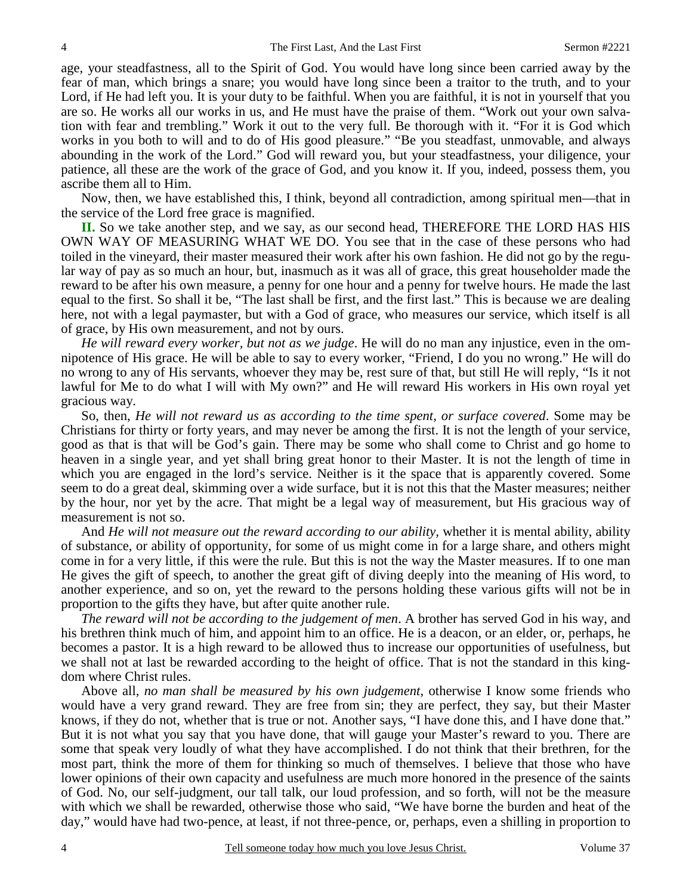age, your steadfastness, all to the Spirit of God. You would have long since been carried away by the fear of man, which brings a snare; you would have long since been a traitor to the truth, and to your Lord, if He had left you. It is your duty to be faithful. When you are faithful, it is not in yourself that you are so. He works all our works in us, and He must have the praise of them. "Work out your own salvation with fear and trembling." Work it out to the very full. Be thorough with it. "For it is God which works in you both to will and to do of His good pleasure." "Be you steadfast, unmovable, and always abounding in the work of the Lord." God will reward you, but your steadfastness, your diligence, your patience, all these are the work of the grace of God, and you know it. If you, indeed, possess them, you ascribe them all to Him.

 Now, then, we have established this, I think, beyond all contradiction, among spiritual men—that in the service of the Lord free grace is magnified.

**II.** So we take another step, and we say, as our second head, THEREFORE THE LORD HAS HIS OWN WAY OF MEASURING WHAT WE DO. You see that in the case of these persons who had toiled in the vineyard, their master measured their work after his own fashion. He did not go by the regular way of pay as so much an hour, but, inasmuch as it was all of grace, this great householder made the reward to be after his own measure, a penny for one hour and a penny for twelve hours. He made the last equal to the first. So shall it be, "The last shall be first, and the first last." This is because we are dealing here, not with a legal paymaster, but with a God of grace, who measures our service, which itself is all of grace, by His own measurement, and not by ours.

*He will reward every worker, but not as we judge*. He will do no man any injustice, even in the omnipotence of His grace. He will be able to say to every worker, "Friend, I do you no wrong." He will do no wrong to any of His servants, whoever they may be, rest sure of that, but still He will reply, "Is it not lawful for Me to do what I will with My own?" and He will reward His workers in His own royal yet gracious way.

 So, then, *He will not reward us as according to the time spent, or surface covered*. Some may be Christians for thirty or forty years, and may never be among the first. It is not the length of your service, good as that is that will be God's gain. There may be some who shall come to Christ and go home to heaven in a single year, and yet shall bring great honor to their Master. It is not the length of time in which you are engaged in the lord's service. Neither is it the space that is apparently covered. Some seem to do a great deal, skimming over a wide surface, but it is not this that the Master measures; neither by the hour, nor yet by the acre. That might be a legal way of measurement, but His gracious way of measurement is not so.

 And *He will not measure out the reward according to our ability,* whether it is mental ability, ability of substance, or ability of opportunity, for some of us might come in for a large share, and others might come in for a very little, if this were the rule. But this is not the way the Master measures. If to one man He gives the gift of speech, to another the great gift of diving deeply into the meaning of His word, to another experience, and so on, yet the reward to the persons holding these various gifts will not be in proportion to the gifts they have, but after quite another rule.

*The reward will not be according to the judgement of men*. A brother has served God in his way, and his brethren think much of him, and appoint him to an office. He is a deacon, or an elder, or, perhaps, he becomes a pastor. It is a high reward to be allowed thus to increase our opportunities of usefulness, but we shall not at last be rewarded according to the height of office. That is not the standard in this kingdom where Christ rules.

 Above all, *no man shall be measured by his own judgement,* otherwise I know some friends who would have a very grand reward. They are free from sin; they are perfect, they say, but their Master knows, if they do not, whether that is true or not. Another says, "I have done this, and I have done that." But it is not what you say that you have done, that will gauge your Master's reward to you. There are some that speak very loudly of what they have accomplished. I do not think that their brethren, for the most part, think the more of them for thinking so much of themselves. I believe that those who have lower opinions of their own capacity and usefulness are much more honored in the presence of the saints of God. No, our self-judgment, our tall talk, our loud profession, and so forth, will not be the measure with which we shall be rewarded, otherwise those who said, "We have borne the burden and heat of the day," would have had two-pence, at least, if not three-pence, or, perhaps, even a shilling in proportion to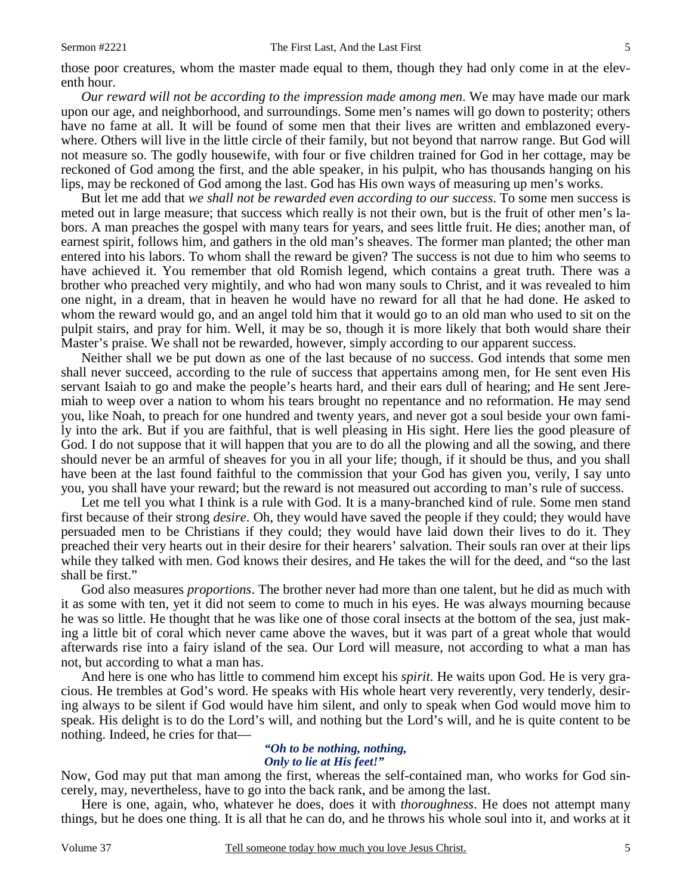those poor creatures, whom the master made equal to them, though they had only come in at the eleventh hour.

*Our reward will not be according to the impression made among men*. We may have made our mark upon our age, and neighborhood, and surroundings. Some men's names will go down to posterity; others have no fame at all. It will be found of some men that their lives are written and emblazoned everywhere. Others will live in the little circle of their family, but not beyond that narrow range. But God will not measure so. The godly housewife, with four or five children trained for God in her cottage, may be reckoned of God among the first, and the able speaker, in his pulpit, who has thousands hanging on his lips, may be reckoned of God among the last. God has His own ways of measuring up men's works.

 But let me add that *we shall not be rewarded even according to our success*. To some men success is meted out in large measure; that success which really is not their own, but is the fruit of other men's labors. A man preaches the gospel with many tears for years, and sees little fruit. He dies; another man, of earnest spirit, follows him, and gathers in the old man's sheaves. The former man planted; the other man entered into his labors. To whom shall the reward be given? The success is not due to him who seems to have achieved it. You remember that old Romish legend, which contains a great truth. There was a brother who preached very mightily, and who had won many souls to Christ, and it was revealed to him one night, in a dream, that in heaven he would have no reward for all that he had done. He asked to whom the reward would go, and an angel told him that it would go to an old man who used to sit on the pulpit stairs, and pray for him. Well, it may be so, though it is more likely that both would share their Master's praise. We shall not be rewarded, however, simply according to our apparent success.

 Neither shall we be put down as one of the last because of no success. God intends that some men shall never succeed, according to the rule of success that appertains among men, for He sent even His servant Isaiah to go and make the people's hearts hard, and their ears dull of hearing; and He sent Jeremiah to weep over a nation to whom his tears brought no repentance and no reformation. He may send you, like Noah, to preach for one hundred and twenty years, and never got a soul beside your own family into the ark. But if you are faithful, that is well pleasing in His sight. Here lies the good pleasure of God. I do not suppose that it will happen that you are to do all the plowing and all the sowing, and there should never be an armful of sheaves for you in all your life; though, if it should be thus, and you shall have been at the last found faithful to the commission that your God has given you, verily, I say unto you, you shall have your reward; but the reward is not measured out according to man's rule of success.

 Let me tell you what I think is a rule with God. It is a many-branched kind of rule. Some men stand first because of their strong *desire*. Oh, they would have saved the people if they could; they would have persuaded men to be Christians if they could; they would have laid down their lives to do it. They preached their very hearts out in their desire for their hearers' salvation. Their souls ran over at their lips while they talked with men. God knows their desires, and He takes the will for the deed, and "so the last shall be first."

 God also measures *proportions*. The brother never had more than one talent, but he did as much with it as some with ten, yet it did not seem to come to much in his eyes. He was always mourning because he was so little. He thought that he was like one of those coral insects at the bottom of the sea, just making a little bit of coral which never came above the waves, but it was part of a great whole that would afterwards rise into a fairy island of the sea. Our Lord will measure, not according to what a man has not, but according to what a man has.

 And here is one who has little to commend him except his *spirit*. He waits upon God. He is very gracious. He trembles at God's word. He speaks with His whole heart very reverently, very tenderly, desiring always to be silent if God would have him silent, and only to speak when God would move him to speak. His delight is to do the Lord's will, and nothing but the Lord's will, and he is quite content to be nothing. Indeed, he cries for that—

#### *"Oh to be nothing, nothing, Only to lie at His feet!"*

Now, God may put that man among the first, whereas the self-contained man, who works for God sincerely, may, nevertheless, have to go into the back rank, and be among the last.

 Here is one, again, who, whatever he does, does it with *thoroughness*. He does not attempt many things, but he does one thing. It is all that he can do, and he throws his whole soul into it, and works at it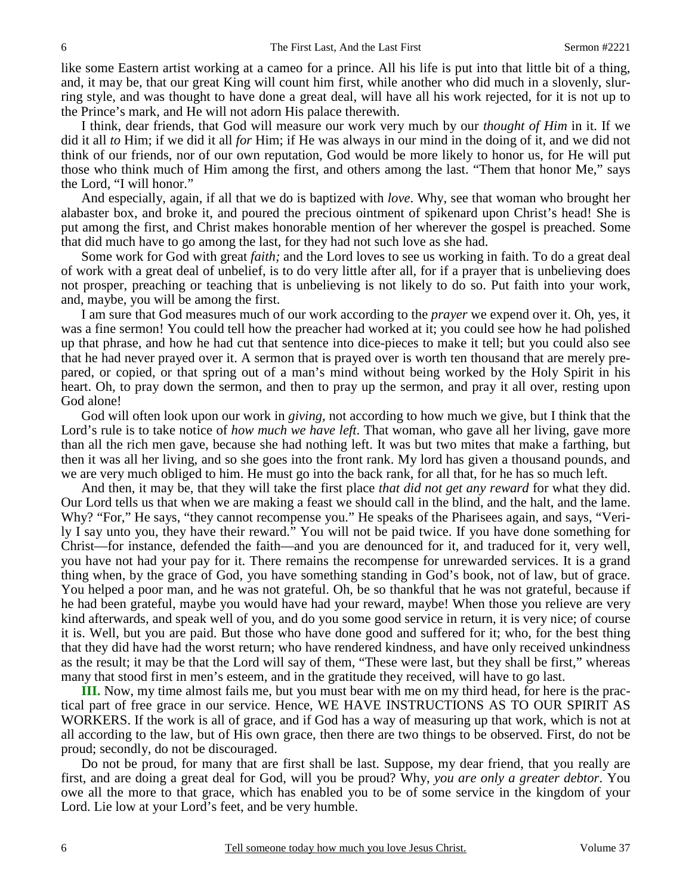like some Eastern artist working at a cameo for a prince. All his life is put into that little bit of a thing, and, it may be, that our great King will count him first, while another who did much in a slovenly, slurring style, and was thought to have done a great deal, will have all his work rejected, for it is not up to the Prince's mark, and He will not adorn His palace therewith.

 I think, dear friends, that God will measure our work very much by our *thought of Him* in it. If we did it all *to* Him; if we did it all *for* Him; if He was always in our mind in the doing of it, and we did not think of our friends, nor of our own reputation, God would be more likely to honor us, for He will put those who think much of Him among the first, and others among the last. "Them that honor Me," says the Lord, "I will honor."

 And especially, again, if all that we do is baptized with *love*. Why, see that woman who brought her alabaster box, and broke it, and poured the precious ointment of spikenard upon Christ's head! She is put among the first, and Christ makes honorable mention of her wherever the gospel is preached. Some that did much have to go among the last, for they had not such love as she had.

 Some work for God with great *faith;* and the Lord loves to see us working in faith. To do a great deal of work with a great deal of unbelief, is to do very little after all, for if a prayer that is unbelieving does not prosper, preaching or teaching that is unbelieving is not likely to do so. Put faith into your work, and, maybe, you will be among the first.

 I am sure that God measures much of our work according to the *prayer* we expend over it. Oh, yes, it was a fine sermon! You could tell how the preacher had worked at it; you could see how he had polished up that phrase, and how he had cut that sentence into dice-pieces to make it tell; but you could also see that he had never prayed over it. A sermon that is prayed over is worth ten thousand that are merely prepared, or copied, or that spring out of a man's mind without being worked by the Holy Spirit in his heart. Oh, to pray down the sermon, and then to pray up the sermon, and pray it all over, resting upon God alone!

 God will often look upon our work in *giving,* not according to how much we give, but I think that the Lord's rule is to take notice of *how much we have left*. That woman, who gave all her living, gave more than all the rich men gave, because she had nothing left. It was but two mites that make a farthing, but then it was all her living, and so she goes into the front rank. My lord has given a thousand pounds, and we are very much obliged to him. He must go into the back rank, for all that, for he has so much left.

 And then, it may be, that they will take the first place *that did not get any reward* for what they did. Our Lord tells us that when we are making a feast we should call in the blind, and the halt, and the lame. Why? "For," He says, "they cannot recompense you." He speaks of the Pharisees again, and says, "Verily I say unto you, they have their reward." You will not be paid twice. If you have done something for Christ—for instance, defended the faith—and you are denounced for it, and traduced for it, very well, you have not had your pay for it. There remains the recompense for unrewarded services. It is a grand thing when, by the grace of God, you have something standing in God's book, not of law, but of grace. You helped a poor man, and he was not grateful. Oh, be so thankful that he was not grateful, because if he had been grateful, maybe you would have had your reward, maybe! When those you relieve are very kind afterwards, and speak well of you, and do you some good service in return, it is very nice; of course it is. Well, but you are paid. But those who have done good and suffered for it; who, for the best thing that they did have had the worst return; who have rendered kindness, and have only received unkindness as the result; it may be that the Lord will say of them, "These were last, but they shall be first," whereas many that stood first in men's esteem, and in the gratitude they received, will have to go last.

**III.** Now, my time almost fails me, but you must bear with me on my third head, for here is the practical part of free grace in our service. Hence, WE HAVE INSTRUCTIONS AS TO OUR SPIRIT AS WORKERS. If the work is all of grace, and if God has a way of measuring up that work, which is not at all according to the law, but of His own grace, then there are two things to be observed. First, do not be proud; secondly, do not be discouraged.

 Do not be proud, for many that are first shall be last. Suppose, my dear friend, that you really are first, and are doing a great deal for God, will you be proud? Why, *you are only a greater debtor*. You owe all the more to that grace, which has enabled you to be of some service in the kingdom of your Lord. Lie low at your Lord's feet, and be very humble.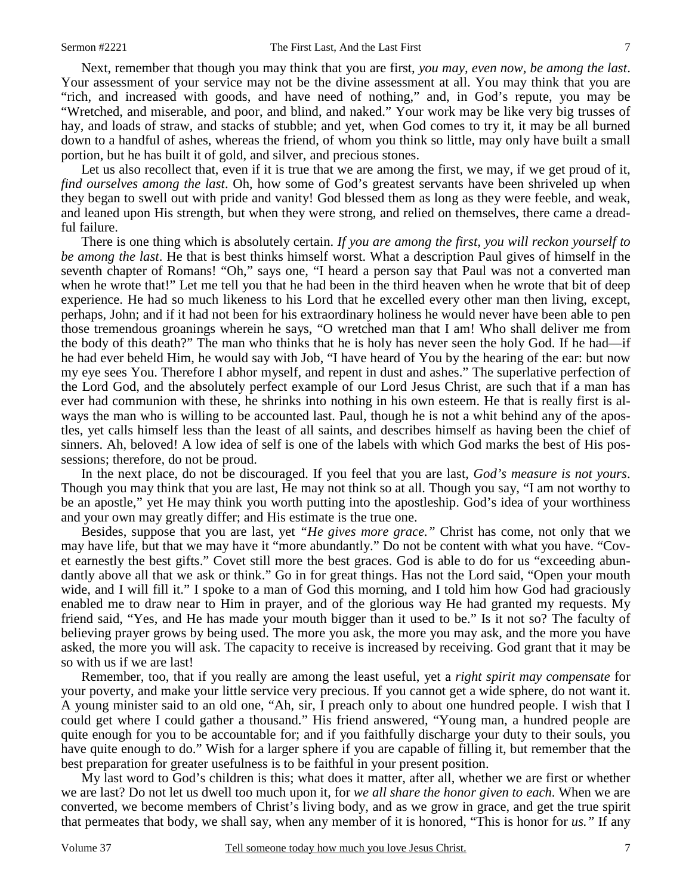Next, remember that though you may think that you are first, *you may, even now, be among the last*. Your assessment of your service may not be the divine assessment at all. You may think that you are "rich, and increased with goods, and have need of nothing," and, in God's repute, you may be "Wretched, and miserable, and poor, and blind, and naked." Your work may be like very big trusses of hay, and loads of straw, and stacks of stubble; and yet, when God comes to try it, it may be all burned down to a handful of ashes, whereas the friend, of whom you think so little, may only have built a small portion, but he has built it of gold, and silver, and precious stones.

Let us also recollect that, even if it is true that we are among the first, we may, if we get proud of it, *find ourselves among the last*. Oh, how some of God's greatest servants have been shriveled up when they began to swell out with pride and vanity! God blessed them as long as they were feeble, and weak, and leaned upon His strength, but when they were strong, and relied on themselves, there came a dreadful failure.

 There is one thing which is absolutely certain. *If you are among the first, you will reckon yourself to be among the last*. He that is best thinks himself worst. What a description Paul gives of himself in the seventh chapter of Romans! "Oh," says one, "I heard a person say that Paul was not a converted man when he wrote that!" Let me tell you that he had been in the third heaven when he wrote that bit of deep experience. He had so much likeness to his Lord that he excelled every other man then living, except, perhaps, John; and if it had not been for his extraordinary holiness he would never have been able to pen those tremendous groanings wherein he says, "O wretched man that I am! Who shall deliver me from the body of this death?" The man who thinks that he is holy has never seen the holy God. If he had—if he had ever beheld Him, he would say with Job, "I have heard of You by the hearing of the ear: but now my eye sees You. Therefore I abhor myself, and repent in dust and ashes." The superlative perfection of the Lord God, and the absolutely perfect example of our Lord Jesus Christ, are such that if a man has ever had communion with these, he shrinks into nothing in his own esteem. He that is really first is always the man who is willing to be accounted last. Paul, though he is not a whit behind any of the apostles, yet calls himself less than the least of all saints, and describes himself as having been the chief of sinners. Ah, beloved! A low idea of self is one of the labels with which God marks the best of His possessions; therefore, do not be proud.

 In the next place, do not be discouraged. If you feel that you are last, *God's measure is not yours*. Though you may think that you are last, He may not think so at all. Though you say, "I am not worthy to be an apostle," yet He may think you worth putting into the apostleship. God's idea of your worthiness and your own may greatly differ; and His estimate is the true one.

 Besides, suppose that you are last, yet *"He gives more grace."* Christ has come, not only that we may have life, but that we may have it "more abundantly." Do not be content with what you have. "Covet earnestly the best gifts." Covet still more the best graces. God is able to do for us "exceeding abundantly above all that we ask or think." Go in for great things. Has not the Lord said, "Open your mouth wide, and I will fill it." I spoke to a man of God this morning, and I told him how God had graciously enabled me to draw near to Him in prayer, and of the glorious way He had granted my requests. My friend said, "Yes, and He has made your mouth bigger than it used to be." Is it not so? The faculty of believing prayer grows by being used. The more you ask, the more you may ask, and the more you have asked, the more you will ask. The capacity to receive is increased by receiving. God grant that it may be so with us if we are last!

 Remember, too, that if you really are among the least useful, yet a *right spirit may compensate* for your poverty, and make your little service very precious. If you cannot get a wide sphere, do not want it. A young minister said to an old one, "Ah, sir, I preach only to about one hundred people. I wish that I could get where I could gather a thousand." His friend answered, "Young man, a hundred people are quite enough for you to be accountable for; and if you faithfully discharge your duty to their souls, you have quite enough to do." Wish for a larger sphere if you are capable of filling it, but remember that the best preparation for greater usefulness is to be faithful in your present position.

 My last word to God's children is this; what does it matter, after all, whether we are first or whether we are last? Do not let us dwell too much upon it, for *we all share the honor given to each*. When we are converted, we become members of Christ's living body, and as we grow in grace, and get the true spirit that permeates that body, we shall say, when any member of it is honored, "This is honor for *us."* If any